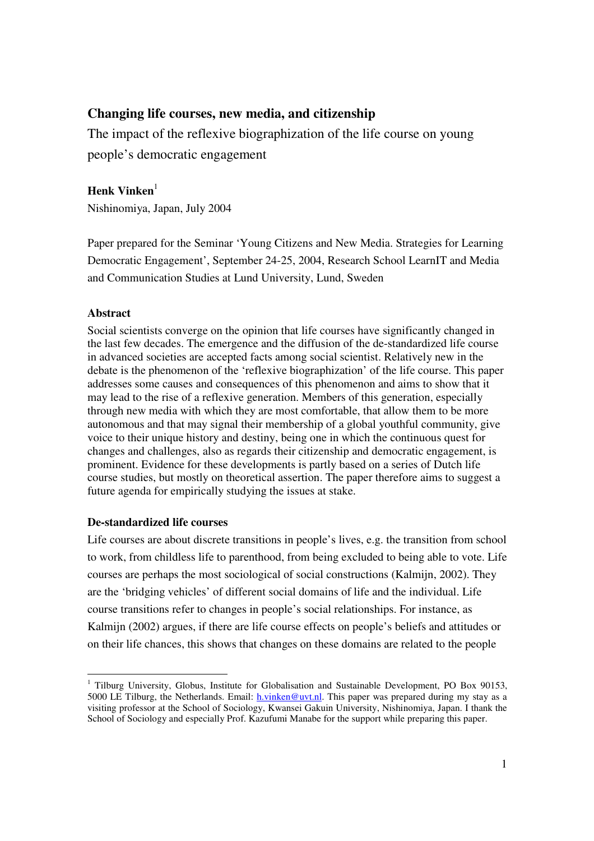# **Changing life courses, new media, and citizenship**

The impact of the reflexive biographization of the life course on young people's democratic engagement

# **Henk Vinken** 1

Nishinomiya, Japan, July 2004

Paper prepared for the Seminar 'Young Citizens and New Media. Strategies for Learning Democratic Engagement', September 24-25, 2004, Research School LearnIT and Media and Communication Studies at Lund University, Lund, Sweden

## **Abstract**

Social scientists converge on the opinion that life courses have significantly changed in the last few decades. The emergence and the diffusion of the de-standardized life course in advanced societies are accepted facts among social scientist. Relatively new in the debate is the phenomenon of the 'reflexive biographization' of the life course. This paper addresses some causes and consequences of this phenomenon and aims to show that it may lead to the rise of a reflexive generation. Members of this generation, especially through new media with which they are most comfortable, that allow them to be more autonomous and that may signal their membership of a global youthful community, give voice to their unique history and destiny, being one in which the continuous quest for changes and challenges, also as regards their citizenship and democratic engagement, is prominent. Evidence for these developments is partly based on a series of Dutch life course studies, but mostly on theoretical assertion. The paper therefore aims to suggest a future agenda for empirically studying the issues at stake.

## **De-standardized life courses**

Life courses are about discrete transitions in people's lives, e.g. the transition from school to work, from childless life to parenthood, from being excluded to being able to vote. Life courses are perhaps the most sociological of social constructions (Kalmijn, 2002). They are the 'bridging vehicles' of different social domains of life and the individual. Life course transitions refer to changes in people's social relationships. For instance, as Kalmijn (2002) argues, if there are life course effects on people's beliefs and attitudes or on their life chances, this shows that changes on these domains are related to the people

 $1$  Tilburg University, Globus, Institute for Globalisation and Sustainable Development, PO Box 90153, 5000 LE Tilburg, the Netherlands. Email: *h.vinken@uvt.nl*. This paper was prepared during my stay as a visiting professor at the School of Sociology, Kwansei Gakuin University, Nishinomiya, Japan. I thank the School of Sociology and especially Prof. Kazufumi Manabe for the support while preparing this paper.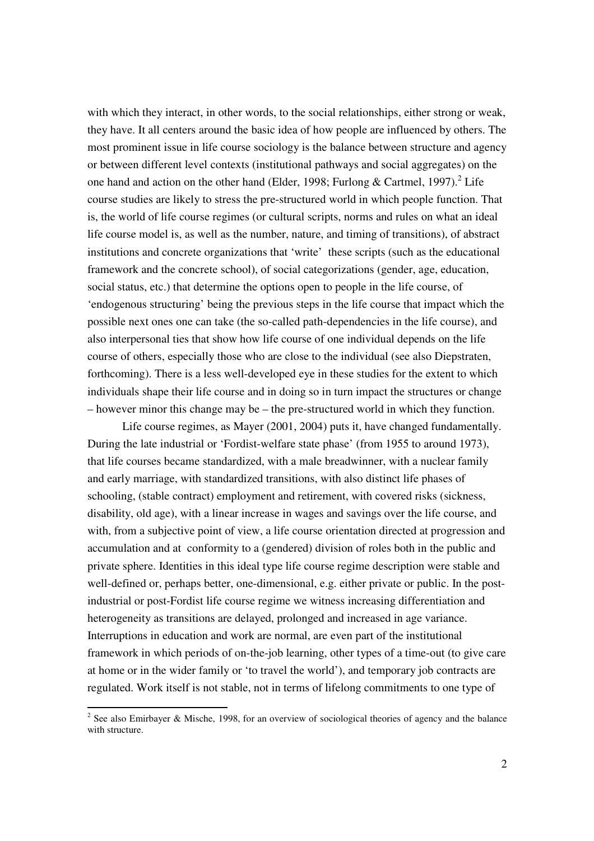with which they interact, in other words, to the social relationships, either strong or weak, they have. It all centers around the basic idea of how people are influenced by others. The most prominent issue in life course sociology is the balance between structure and agency or between different level contexts (institutional pathways and social aggregates) on the one hand and action on the other hand (Elder, 1998; Furlong & Cartmel, 1997).<sup>2</sup> Life course studies are likely to stress the pre-structured world in which people function. That is, the world of life course regimes (or cultural scripts, norms and rules on what an ideal life course model is, as well as the number, nature, and timing of transitions), of abstract institutions and concrete organizations that 'write' these scripts (such as the educational framework and the concrete school), of social categorizations (gender, age, education, social status, etc.) that determine the options open to people in the life course, of 'endogenous structuring' being the previous steps in the life course that impact which the possible next ones one can take (the so-called path-dependencies in the life course), and also interpersonal ties that show how life course of one individual depends on the life course of others, especially those who are close to the individual (see also Diepstraten, forthcoming). There is a less well-developed eye in these studies for the extent to which individuals shape their life course and in doing so in turn impact the structures or change – however minor this change may be – the pre-structured world in which they function.

Life course regimes, as Mayer (2001, 2004) puts it, have changed fundamentally. During the late industrial or 'Fordist-welfare state phase' (from 1955 to around 1973), that life courses became standardized, with a male breadwinner, with a nuclear family and early marriage, with standardized transitions, with also distinct life phases of schooling, (stable contract) employment and retirement, with covered risks (sickness, disability, old age), with a linear increase in wages and savings over the life course, and with, from a subjective point of view, a life course orientation directed at progression and accumulation and at conformity to a (gendered) division of roles both in the public and private sphere. Identities in this ideal type life course regime description were stable and well-defined or, perhaps better, one-dimensional, e.g. either private or public. In the postindustrial or post-Fordist life course regime we witness increasing differentiation and heterogeneity as transitions are delayed, prolonged and increased in age variance. Interruptions in education and work are normal, are even part of the institutional framework in which periods of on-the-job learning, other types of a time-out (to give care at home or in the wider family or 'to travel the world'), and temporary job contracts are regulated. Work itself is not stable, not in terms of lifelong commitments to one type of

<sup>&</sup>lt;sup>2</sup> See also Emirbayer & Mische, 1998, for an overview of sociological theories of agency and the balance with structure.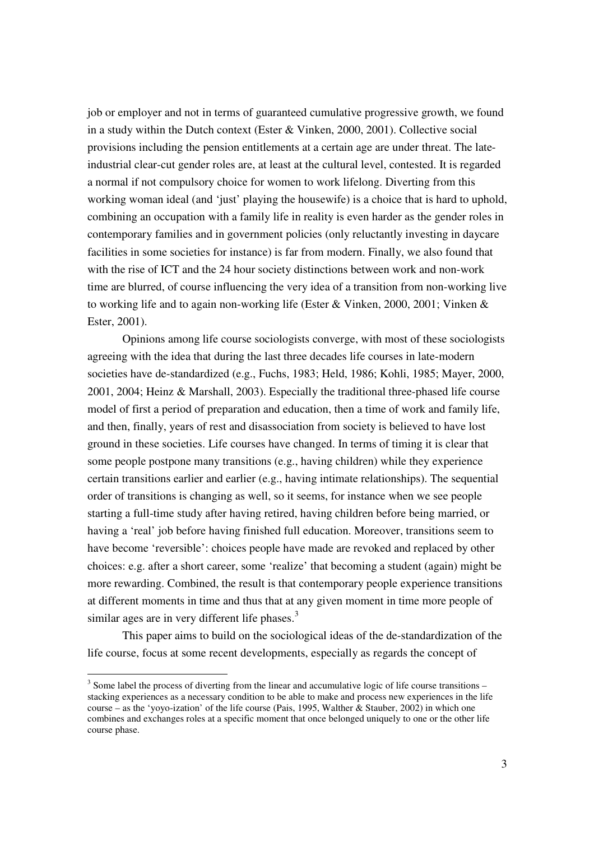job or employer and not in terms of guaranteed cumulative progressive growth, we found in a study within the Dutch context (Ester & Vinken, 2000, 2001). Collective social provisions including the pension entitlements at a certain age are under threat. The lateindustrial clear-cut gender roles are, at least at the cultural level, contested. It is regarded a normal if not compulsory choice for women to work lifelong. Diverting from this working woman ideal (and 'just' playing the housewife) is a choice that is hard to uphold, combining an occupation with a family life in reality is even harder as the gender roles in contemporary families and in government policies (only reluctantly investing in daycare facilities in some societies for instance) is far from modern. Finally, we also found that with the rise of ICT and the 24 hour society distinctions between work and non-work time are blurred, of course influencing the very idea of a transition from non-working live to working life and to again non-working life (Ester & Vinken, 2000, 2001; Vinken & Ester, 2001).

Opinions among life course sociologists converge, with most of these sociologists agreeing with the idea that during the last three decades life courses in late-modern societies have de-standardized (e.g., Fuchs, 1983; Held, 1986; Kohli, 1985; Mayer, 2000, 2001, 2004; Heinz & Marshall, 2003). Especially the traditional three-phased life course model of first a period of preparation and education, then a time of work and family life, and then, finally, years of rest and disassociation from society is believed to have lost ground in these societies. Life courses have changed. In terms of timing it is clear that some people postpone many transitions (e.g., having children) while they experience certain transitions earlier and earlier (e.g., having intimate relationships). The sequential order of transitions is changing as well, so it seems, for instance when we see people starting a full-time study after having retired, having children before being married, or having a 'real' job before having finished full education. Moreover, transitions seem to have become 'reversible': choices people have made are revoked and replaced by other choices: e.g. after a short career, some 'realize' that becoming a student (again) might be more rewarding. Combined, the result is that contemporary people experience transitions at different moments in time and thus that at any given moment in time more people of similar ages are in very different life phases.<sup>3</sup>

This paper aims to build on the sociological ideas of the de-standardization of the life course, focus at some recent developments, especially as regards the concept of

 $3$  Some label the process of diverting from the linear and accumulative logic of life course transitions – stacking experiences as a necessary condition to be able to make and process new experiences in the life course – as the 'yoyo-ization' of the life course (Pais, 1995, Walther & Stauber, 2002) in which one combines and exchanges roles at a specific moment that once belonged uniquely to one or the other life course phase.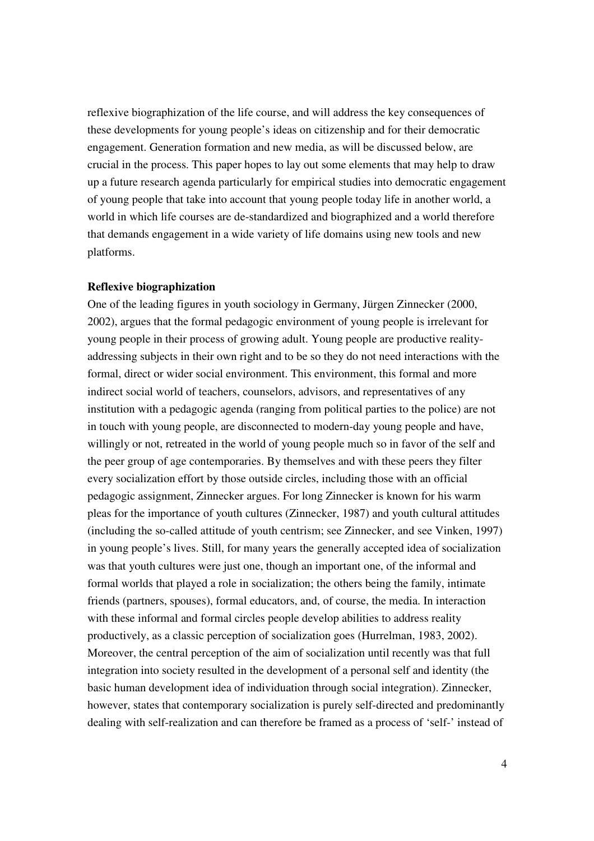reflexive biographization of the life course, and will address the key consequences of these developments for young people's ideas on citizenship and for their democratic engagement. Generation formation and new media, as will be discussed below, are crucial in the process. This paper hopes to lay out some elements that may help to draw up a future research agenda particularly for empirical studies into democratic engagement of young people that take into account that young people today life in another world, a world in which life courses are de-standardized and biographized and a world therefore that demands engagement in a wide variety of life domains using new tools and new platforms.

#### **Reflexive biographization**

One of the leading figures in youth sociology in Germany, Jürgen Zinnecker (2000, 2002), argues that the formal pedagogic environment of young people is irrelevant for young people in their process of growing adult. Young people are productive realityaddressing subjects in their own right and to be so they do not need interactions with the formal, direct or wider social environment. This environment, this formal and more indirect social world of teachers, counselors, advisors, and representatives of any institution with a pedagogic agenda (ranging from political parties to the police) are not in touch with young people, are disconnected to modern-day young people and have, willingly or not, retreated in the world of young people much so in favor of the self and the peer group of age contemporaries. By themselves and with these peers they filter every socialization effort by those outside circles, including those with an official pedagogic assignment, Zinnecker argues. For long Zinnecker is known for his warm pleas for the importance of youth cultures (Zinnecker, 1987) and youth cultural attitudes (including the so-called attitude of youth centrism; see Zinnecker, and see Vinken, 1997) in young people's lives. Still, for many years the generally accepted idea of socialization was that youth cultures were just one, though an important one, of the informal and formal worlds that played a role in socialization; the others being the family, intimate friends (partners, spouses), formal educators, and, of course, the media. In interaction with these informal and formal circles people develop abilities to address reality productively, as a classic perception of socialization goes (Hurrelman, 1983, 2002). Moreover, the central perception of the aim of socialization until recently was that full integration into society resulted in the development of a personal self and identity (the basic human development idea of individuation through social integration). Zinnecker, however, states that contemporary socialization is purely self-directed and predominantly dealing with self-realization and can therefore be framed as a process of 'self-' instead of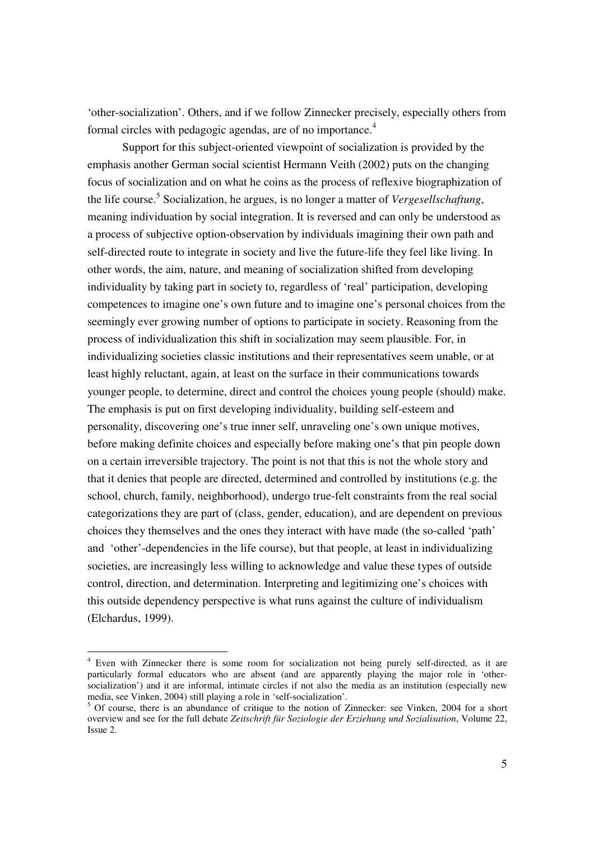'other-socialization'. Others, and if we follow Zinnecker precisely, especially others from formal circles with pedagogic agendas, are of no importance.<sup>4</sup>

Support for this subject-oriented viewpoint of socialization is provided by the emphasis another German social scientist Hermann Veith (2002) puts on the changing focus of socialization and on what he coins as the process of reflexive biographization of the life course. 5 Socialization, he argues, is no longer a matter of *Vergesellschaftung*, meaning individuation by social integration. It is reversed and can only be understood as a process of subjective option-observation by individuals imagining their own path and self-directed route to integrate in society and live the future-life they feel like living. In other words, the aim, nature, and meaning of socialization shifted from developing individuality by taking part in society to, regardless of 'real' participation, developing competences to imagine one's own future and to imagine one's personal choices from the seemingly ever growing number of options to participate in society. Reasoning from the process of individualization this shift in socialization may seem plausible. For, in individualizing societies classic institutions and their representatives seem unable, or at least highly reluctant, again, at least on the surface in their communications towards younger people, to determine, direct and control the choices young people (should) make. The emphasis is put on first developing individuality, building self-esteem and personality, discovering one's true inner self, unraveling one's own unique motives, before making definite choices and especially before making one's that pin people down on a certain irreversible trajectory. The point is not that this is not the whole story and that it denies that people are directed, determined and controlled by institutions (e.g. the school, church, family, neighborhood), undergo true-felt constraints from the real social categorizations they are part of (class, gender, education), and are dependent on previous choices they themselves and the ones they interact with have made (the so-called 'path' and 'other'-dependencies in the life course), but that people, at least in individualizing societies, are increasingly less willing to acknowledge and value these types of outside control, direction, and determination. Interpreting and legitimizing one's choices with this outside dependency perspective is what runs against the culture of individualism (Elchardus, 1999).

<sup>4</sup> Even with Zinnecker there is some room for socialization not being purely self-directed, as it are particularly formal educators who are absent (and are apparently playing the major role in 'othersocialization') and it are informal, intimate circles if not also the media as an institution (especially new media, see Vinken, 2004) still playing a role in 'self-socialization'.

 $5$  Of course, there is an abundance of critique to the notion of Zinnecker: see Vinken, 2004 for a short overview and see for the full debate *Zeitschrift für Soziologie der Erziehung und Sozialisation*, Volume 22, Issue 2.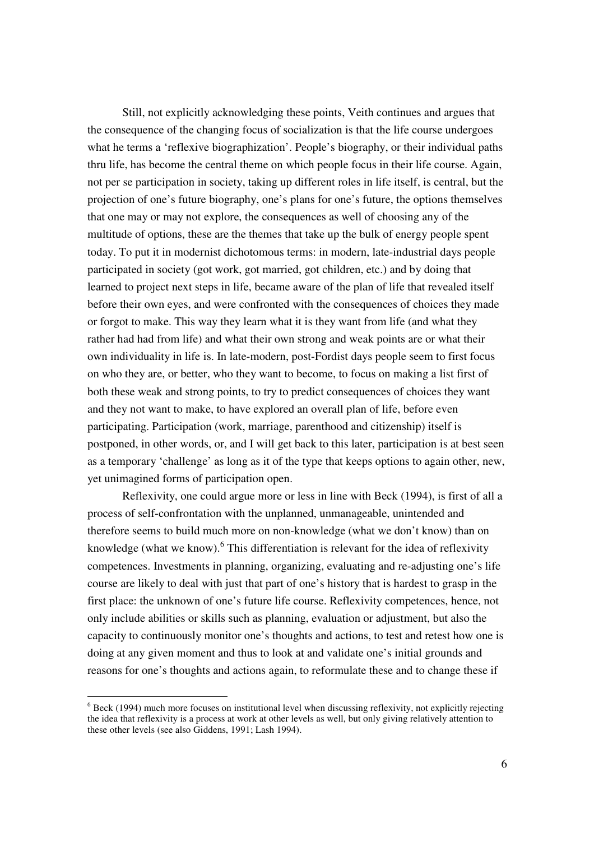Still, not explicitly acknowledging these points, Veith continues and argues that the consequence of the changing focus of socialization is that the life course undergoes what he terms a 'reflexive biographization'. People's biography, or their individual paths thru life, has become the central theme on which people focus in their life course. Again, not per se participation in society, taking up different roles in life itself, is central, but the projection of one's future biography, one's plans for one's future, the options themselves that one may or may not explore, the consequences as well of choosing any of the multitude of options, these are the themes that take up the bulk of energy people spent today. To put it in modernist dichotomous terms: in modern, late-industrial days people participated in society (got work, got married, got children, etc.) and by doing that learned to project next steps in life, became aware of the plan of life that revealed itself before their own eyes, and were confronted with the consequences of choices they made or forgot to make. This way they learn what it is they want from life (and what they rather had had from life) and what their own strong and weak points are or what their own individuality in life is. In late-modern, post-Fordist days people seem to first focus on who they are, or better, who they want to become, to focus on making a list first of both these weak and strong points, to try to predict consequences of choices they want and they not want to make, to have explored an overall plan of life, before even participating. Participation (work, marriage, parenthood and citizenship) itself is postponed, in other words, or, and I will get back to this later, participation is at best seen as a temporary 'challenge' as long as it of the type that keeps options to again other, new, yet unimagined forms of participation open.

Reflexivity, one could argue more or less in line with Beck (1994), is first of all a process of self-confrontation with the unplanned, unmanageable, unintended and therefore seems to build much more on non-knowledge (what we don't know) than on knowledge (what we know). <sup>6</sup> This differentiation is relevant for the idea of reflexivity competences. Investments in planning, organizing, evaluating and re-adjusting one's life course are likely to deal with just that part of one's history that is hardest to grasp in the first place: the unknown of one's future life course. Reflexivity competences, hence, not only include abilities or skills such as planning, evaluation or adjustment, but also the capacity to continuously monitor one's thoughts and actions, to test and retest how one is doing at any given moment and thus to look at and validate one's initial grounds and reasons for one's thoughts and actions again, to reformulate these and to change these if

 $6$  Beck (1994) much more focuses on institutional level when discussing reflexivity, not explicitly rejecting the idea that reflexivity is a process at work at other levels as well, but only giving relatively attention to these other levels (see also Giddens, 1991; Lash 1994).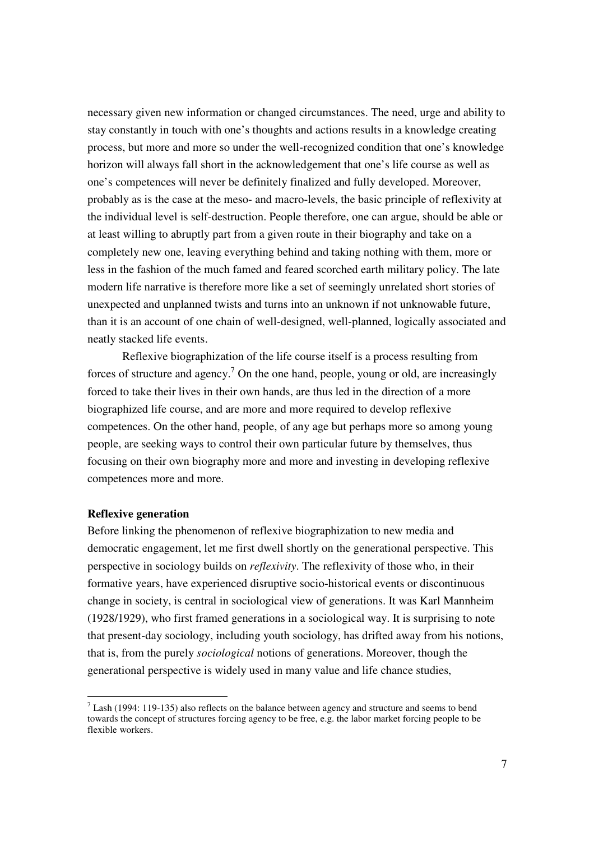necessary given new information or changed circumstances. The need, urge and ability to stay constantly in touch with one's thoughts and actions results in a knowledge creating process, but more and more so under the well-recognized condition that one's knowledge horizon will always fall short in the acknowledgement that one's life course as well as one's competences will never be definitely finalized and fully developed. Moreover, probably as is the case at the meso- and macro-levels, the basic principle of reflexivity at the individual level is self-destruction. People therefore, one can argue, should be able or at least willing to abruptly part from a given route in their biography and take on a completely new one, leaving everything behind and taking nothing with them, more or less in the fashion of the much famed and feared scorched earth military policy. The late modern life narrative is therefore more like a set of seemingly unrelated short stories of unexpected and unplanned twists and turns into an unknown if not unknowable future, than it is an account of one chain of well-designed, well-planned, logically associated and neatly stacked life events.

Reflexive biographization of the life course itself is a process resulting from forces of structure and agency.<sup>7</sup> On the one hand, people, young or old, are increasingly forced to take their lives in their own hands, are thus led in the direction of a more biographized life course, and are more and more required to develop reflexive competences. On the other hand, people, of any age but perhaps more so among young people, are seeking ways to control their own particular future by themselves, thus focusing on their own biography more and more and investing in developing reflexive competences more and more.

### **Reflexive generation**

Before linking the phenomenon of reflexive biographization to new media and democratic engagement, let me first dwell shortly on the generational perspective. This perspective in sociology builds on *reflexivity*. The reflexivity of those who, in their formative years, have experienced disruptive socio-historical events or discontinuous change in society, is central in sociological view of generations. It was Karl Mannheim (1928/1929), who first framed generations in a sociological way. It is surprising to note that present-day sociology, including youth sociology, has drifted away from his notions, that is, from the purely *sociological* notions of generations. Moreover, though the generational perspective is widely used in many value and life chance studies,

 $<sup>7</sup>$  Lash (1994: 119-135) also reflects on the balance between agency and structure and seems to bend</sup> towards the concept of structures forcing agency to be free, e.g. the labor market forcing people to be flexible workers.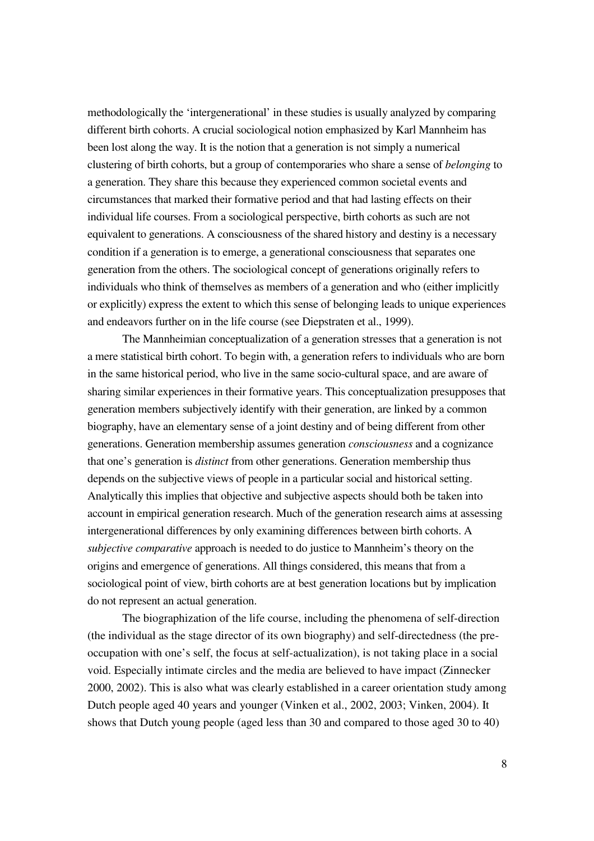methodologically the 'intergenerational' in these studies is usually analyzed by comparing different birth cohorts. A crucial sociological notion emphasized by Karl Mannheim has been lost along the way. It is the notion that a generation is not simply a numerical clustering of birth cohorts, but a group of contemporaries who share a sense of *belonging* to a generation. They share this because they experienced common societal events and circumstances that marked their formative period and that had lasting effects on their individual life courses. From a sociological perspective, birth cohorts as such are not equivalent to generations. A consciousness of the shared history and destiny is a necessary condition if a generation is to emerge, a generational consciousness that separates one generation from the others. The sociological concept of generations originally refers to individuals who think of themselves as members of a generation and who (either implicitly or explicitly) express the extent to which this sense of belonging leads to unique experiences and endeavors further on in the life course (see Diepstraten et al., 1999).

The Mannheimian conceptualization of a generation stresses that a generation is not a mere statistical birth cohort. To begin with, a generation refers to individuals who are born in the same historical period, who live in the same socio-cultural space, and are aware of sharing similar experiences in their formative years. This conceptualization presupposes that generation members subjectively identify with their generation, are linked by a common biography, have an elementary sense of a joint destiny and of being different from other generations. Generation membership assumes generation *consciousness* and a cognizance that one's generation is *distinct* from other generations. Generation membership thus depends on the subjective views of people in a particular social and historical setting. Analytically this implies that objective and subjective aspects should both be taken into account in empirical generation research. Much of the generation research aims at assessing intergenerational differences by only examining differences between birth cohorts. A *subjective comparative* approach is needed to do justice to Mannheim's theory on the origins and emergence of generations. All things considered, this means that from a sociological point of view, birth cohorts are at best generation locations but by implication do not represent an actual generation.

The biographization of the life course, including the phenomena of self-direction (the individual as the stage director of its own biography) and self-directedness (the preoccupation with one's self, the focus at self-actualization), is not taking place in a social void. Especially intimate circles and the media are believed to have impact (Zinnecker 2000, 2002). This is also what was clearly established in a career orientation study among Dutch people aged 40 years and younger (Vinken et al., 2002, 2003; Vinken, 2004). It shows that Dutch young people (aged less than 30 and compared to those aged 30 to 40)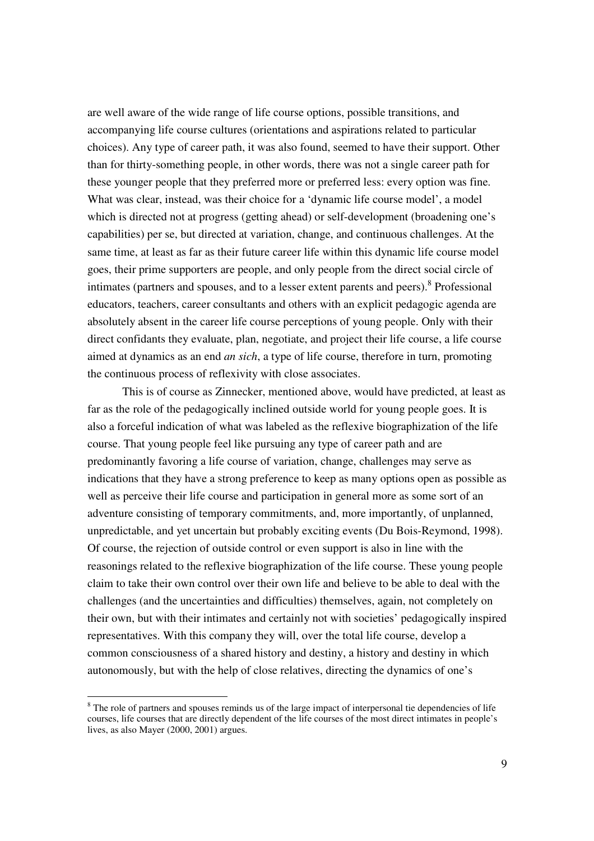are well aware of the wide range of life course options, possible transitions, and accompanying life course cultures (orientations and aspirations related to particular choices). Any type of career path, it was also found, seemed to have their support. Other than for thirty-something people, in other words, there was not a single career path for these younger people that they preferred more or preferred less: every option was fine. What was clear, instead, was their choice for a 'dynamic life course model', a model which is directed not at progress (getting ahead) or self-development (broadening one's capabilities) per se, but directed at variation, change, and continuous challenges. At the same time, at least as far as their future career life within this dynamic life course model goes, their prime supporters are people, and only people from the direct social circle of intimates (partners and spouses, and to a lesser extent parents and peers). 8 Professional educators, teachers, career consultants and others with an explicit pedagogic agenda are absolutely absent in the career life course perceptions of young people. Only with their direct confidants they evaluate, plan, negotiate, and project their life course, a life course aimed at dynamics as an end *an sich*, a type of life course, therefore in turn, promoting the continuous process of reflexivity with close associates.

This is of course as Zinnecker, mentioned above, would have predicted, at least as far as the role of the pedagogically inclined outside world for young people goes. It is also a forceful indication of what was labeled as the reflexive biographization of the life course. That young people feel like pursuing any type of career path and are predominantly favoring a life course of variation, change, challenges may serve as indications that they have a strong preference to keep as many options open as possible as well as perceive their life course and participation in general more as some sort of an adventure consisting of temporary commitments, and, more importantly, of unplanned, unpredictable, and yet uncertain but probably exciting events (Du Bois-Reymond, 1998). Of course, the rejection of outside control or even support is also in line with the reasonings related to the reflexive biographization of the life course. These young people claim to take their own control over their own life and believe to be able to deal with the challenges (and the uncertainties and difficulties) themselves, again, not completely on their own, but with their intimates and certainly not with societies' pedagogically inspired representatives. With this company they will, over the total life course, develop a common consciousness of a shared history and destiny, a history and destiny in which autonomously, but with the help of close relatives, directing the dynamics of one's

<sup>&</sup>lt;sup>8</sup> The role of partners and spouses reminds us of the large impact of interpersonal tie dependencies of life courses, life courses that are directly dependent of the life courses of the most direct intimates in people's lives, as also Mayer (2000, 2001) argues.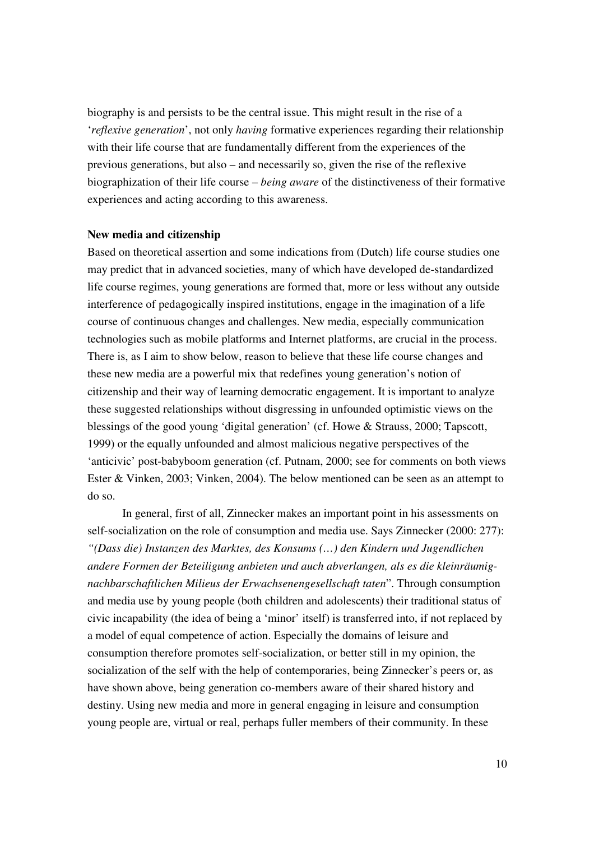biography is and persists to be the central issue. This might result in the rise of a '*reflexive generation*', not only *having* formative experiences regarding their relationship with their life course that are fundamentally different from the experiences of the previous generations, but also – and necessarily so, given the rise of the reflexive biographization of their life course – *being aware* of the distinctiveness of their formative experiences and acting according to this awareness.

#### **New media and citizenship**

Based on theoretical assertion and some indications from (Dutch) life course studies one may predict that in advanced societies, many of which have developed de-standardized life course regimes, young generations are formed that, more or less without any outside interference of pedagogically inspired institutions, engage in the imagination of a life course of continuous changes and challenges. New media, especially communication technologies such as mobile platforms and Internet platforms, are crucial in the process. There is, as I aim to show below, reason to believe that these life course changes and these new media are a powerful mix that redefines young generation's notion of citizenship and their way of learning democratic engagement. It is important to analyze these suggested relationships without disgressing in unfounded optimistic views on the blessings of the good young 'digital generation' (cf. Howe & Strauss, 2000; Tapscott, 1999) or the equally unfounded and almost malicious negative perspectives of the 'anticivic' post-babyboom generation (cf. Putnam, 2000; see for comments on both views Ester & Vinken, 2003; Vinken, 2004). The below mentioned can be seen as an attempt to do so.

In general, first of all, Zinnecker makes an important point in his assessments on self-socialization on the role of consumption and media use. Says Zinnecker (2000: 277): *"(Dass die) Instanzen des Marktes, des Konsums (…) den Kindern und Jugendlichen andere Formen der Beteiligung anbieten und auch abverlangen, als es die kleinräumignachbarschaftlichen Milieus der Erwachsenengesellschaft taten*". Through consumption and media use by young people (both children and adolescents) their traditional status of civic incapability (the idea of being a 'minor' itself) is transferred into, if not replaced by a model of equal competence of action. Especially the domains of leisure and consumption therefore promotes self-socialization, or better still in my opinion, the socialization of the self with the help of contemporaries, being Zinnecker's peers or, as have shown above, being generation co-members aware of their shared history and destiny. Using new media and more in general engaging in leisure and consumption young people are, virtual or real, perhaps fuller members of their community. In these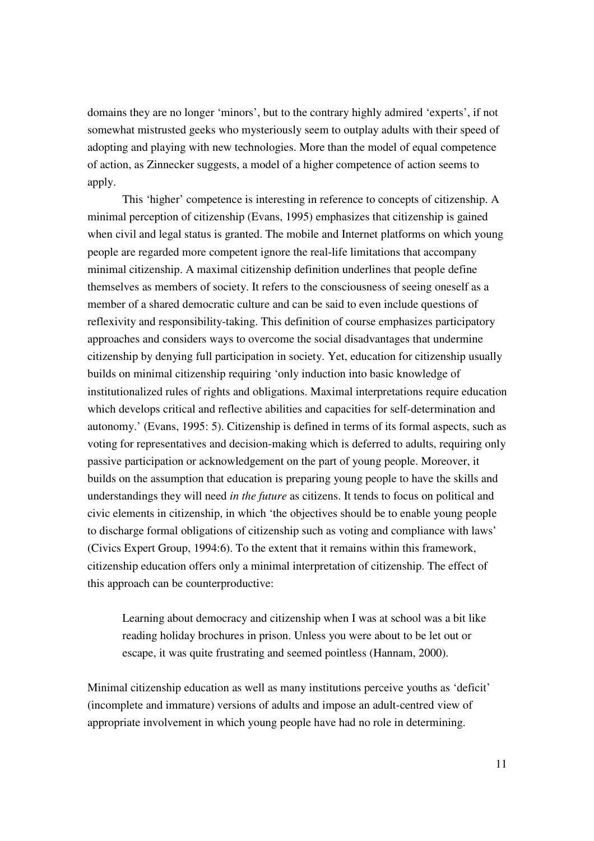domains they are no longer 'minors', but to the contrary highly admired 'experts', if not somewhat mistrusted geeks who mysteriously seem to outplay adults with their speed of adopting and playing with new technologies. More than the model of equal competence of action, as Zinnecker suggests, a model of a higher competence of action seems to apply.

This 'higher' competence is interesting in reference to concepts of citizenship. A minimal perception of citizenship (Evans, 1995) emphasizes that citizenship is gained when civil and legal status is granted. The mobile and Internet platforms on which young people are regarded more competent ignore the real-life limitations that accompany minimal citizenship. A maximal citizenship definition underlines that people define themselves as members of society. It refers to the consciousness of seeing oneself as a member of a shared democratic culture and can be said to even include questions of reflexivity and responsibility-taking. This definition of course emphasizes participatory approaches and considers ways to overcome the social disadvantages that undermine citizenship by denying full participation in society. Yet, education for citizenship usually builds on minimal citizenship requiring 'only induction into basic knowledge of institutionalized rules of rights and obligations. Maximal interpretations require education which develops critical and reflective abilities and capacities for self-determination and autonomy.' (Evans, 1995: 5). Citizenship is defined in terms of its formal aspects, such as voting for representatives and decision-making which is deferred to adults, requiring only passive participation or acknowledgement on the part of young people. Moreover, it builds on the assumption that education is preparing young people to have the skills and understandings they will need *in the future* as citizens. It tends to focus on political and civic elements in citizenship, in which 'the objectives should be to enable young people to discharge formal obligations of citizenship such as voting and compliance with laws' (Civics Expert Group, 1994:6). To the extent that it remains within this framework, citizenship education offers only a minimal interpretation of citizenship. The effect of this approach can be counterproductive:

Learning about democracy and citizenship when I was at school was a bit like reading holiday brochures in prison. Unless you were about to be let out or escape, it was quite frustrating and seemed pointless (Hannam, 2000).

Minimal citizenship education as well as many institutions perceive youths as 'deficit' (incomplete and immature) versions of adults and impose an adult-centred view of appropriate involvement in which young people have had no role in determining.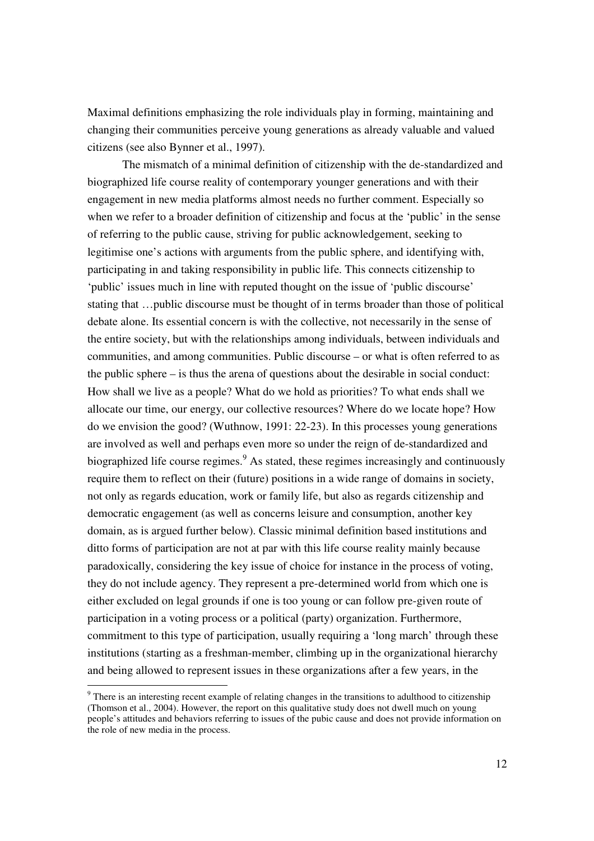Maximal definitions emphasizing the role individuals play in forming, maintaining and changing their communities perceive young generations as already valuable and valued citizens (see also Bynner et al., 1997).

The mismatch of a minimal definition of citizenship with the de-standardized and biographized life course reality of contemporary younger generations and with their engagement in new media platforms almost needs no further comment. Especially so when we refer to a broader definition of citizenship and focus at the 'public' in the sense of referring to the public cause, striving for public acknowledgement, seeking to legitimise one's actions with arguments from the public sphere, and identifying with, participating in and taking responsibility in public life. This connects citizenship to 'public' issues much in line with reputed thought on the issue of 'public discourse' stating that …public discourse must be thought of in terms broader than those of political debate alone. Its essential concern is with the collective, not necessarily in the sense of the entire society, but with the relationships among individuals, between individuals and communities, and among communities. Public discourse – or what is often referred to as the public sphere – is thus the arena of questions about the desirable in social conduct: How shall we live as a people? What do we hold as priorities? To what ends shall we allocate our time, our energy, our collective resources? Where do we locate hope? How do we envision the good? (Wuthnow, 1991: 22-23). In this processes young generations are involved as well and perhaps even more so under the reign of de-standardized and biographized life course regimes.<sup>9</sup> As stated, these regimes increasingly and continuously require them to reflect on their (future) positions in a wide range of domains in society, not only as regards education, work or family life, but also as regards citizenship and democratic engagement (as well as concerns leisure and consumption, another key domain, as is argued further below). Classic minimal definition based institutions and ditto forms of participation are not at par with this life course reality mainly because paradoxically, considering the key issue of choice for instance in the process of voting, they do not include agency. They represent a pre-determined world from which one is either excluded on legal grounds if one is too young or can follow pre-given route of participation in a voting process or a political (party) organization. Furthermore, commitment to this type of participation, usually requiring a 'long march' through these institutions (starting as a freshman-member, climbing up in the organizational hierarchy and being allowed to represent issues in these organizations after a few years, in the

<sup>9</sup> There is an interesting recent example of relating changes in the transitions to adulthood to citizenship (Thomson et al., 2004). However, the report on this qualitative study does not dwell much on young people's attitudes and behaviors referring to issues of the pubic cause and does not provide information on the role of new media in the process.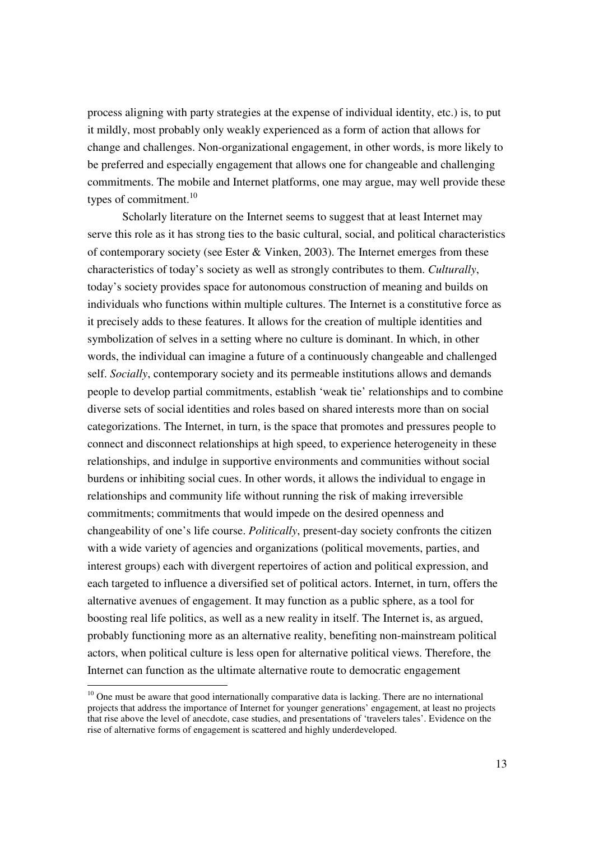process aligning with party strategies at the expense of individual identity, etc.) is, to put it mildly, most probably only weakly experienced as a form of action that allows for change and challenges. Non-organizational engagement, in other words, is more likely to be preferred and especially engagement that allows one for changeable and challenging commitments. The mobile and Internet platforms, one may argue, may well provide these types of commitment.<sup>10</sup>

Scholarly literature on the Internet seems to suggest that at least Internet may serve this role as it has strong ties to the basic cultural, social, and political characteristics of contemporary society (see Ester & Vinken, 2003). The Internet emerges from these characteristics of today's society as well as strongly contributes to them. *Culturally*, today's society provides space for autonomous construction of meaning and builds on individuals who functions within multiple cultures. The Internet is a constitutive force as it precisely adds to these features. It allows for the creation of multiple identities and symbolization of selves in a setting where no culture is dominant. In which, in other words, the individual can imagine a future of a continuously changeable and challenged self. *Socially*, contemporary society and its permeable institutions allows and demands people to develop partial commitments, establish 'weak tie' relationships and to combine diverse sets of social identities and roles based on shared interests more than on social categorizations. The Internet, in turn, is the space that promotes and pressures people to connect and disconnect relationships at high speed, to experience heterogeneity in these relationships, and indulge in supportive environments and communities without social burdens or inhibiting social cues. In other words, it allows the individual to engage in relationships and community life without running the risk of making irreversible commitments; commitments that would impede on the desired openness and changeability of one's life course. *Politically*, present-day society confronts the citizen with a wide variety of agencies and organizations (political movements, parties, and interest groups) each with divergent repertoires of action and political expression, and each targeted to influence a diversified set of political actors. Internet, in turn, offers the alternative avenues of engagement. It may function as a public sphere, as a tool for boosting real life politics, as well as a new reality in itself. The Internet is, as argued, probably functioning more as an alternative reality, benefiting non-mainstream political actors, when political culture is less open for alternative political views. Therefore, the Internet can function as the ultimate alternative route to democratic engagement

 $10$  One must be aware that good internationally comparative data is lacking. There are no international projects that address the importance of Internet for younger generations' engagement, at least no projects that rise above the level of anecdote, case studies, and presentations of 'travelers tales'. Evidence on the rise of alternative forms of engagement is scattered and highly underdeveloped.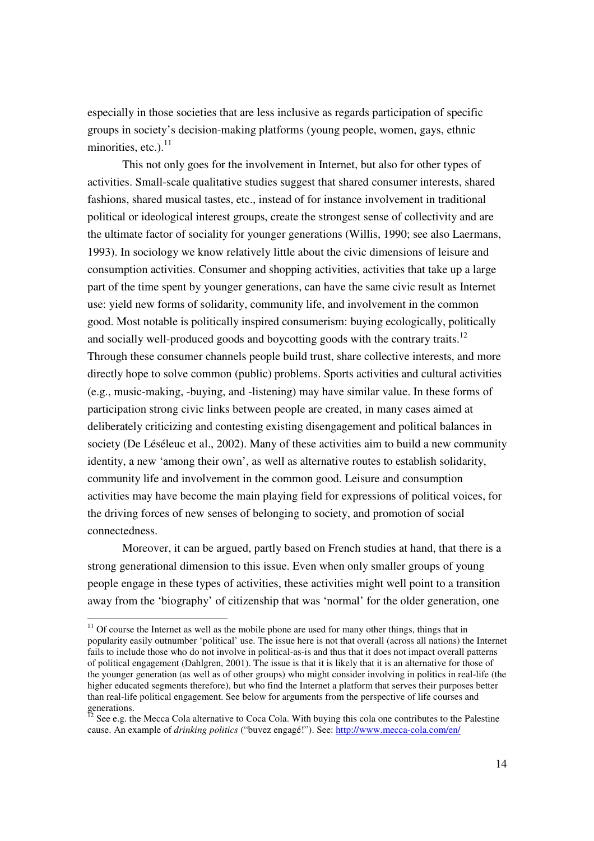especially in those societies that are less inclusive as regards participation of specific groups in society's decision-making platforms (young people, women, gays, ethnic minorities, etc.).<sup>11</sup>

This not only goes for the involvement in Internet, but also for other types of activities. Small-scale qualitative studies suggest that shared consumer interests, shared fashions, shared musical tastes, etc., instead of for instance involvement in traditional political or ideological interest groups, create the strongest sense of collectivity and are the ultimate factor of sociality for younger generations (Willis, 1990; see also Laermans, 1993). In sociology we know relatively little about the civic dimensions of leisure and consumption activities. Consumer and shopping activities, activities that take up a large part of the time spent by younger generations, can have the same civic result as Internet use: yield new forms of solidarity, community life, and involvement in the common good. Most notable is politically inspired consumerism: buying ecologically, politically and socially well-produced goods and boycotting goods with the contrary traits.<sup>12</sup> Through these consumer channels people build trust, share collective interests, and more directly hope to solve common (public) problems. Sports activities and cultural activities (e.g., music-making, -buying, and -listening) may have similar value. In these forms of participation strong civic links between people are created, in many cases aimed at deliberately criticizing and contesting existing disengagement and political balances in society (De Léséleuc et al., 2002). Many of these activities aim to build a new community identity, a new 'among their own', as well as alternative routes to establish solidarity, community life and involvement in the common good. Leisure and consumption activities may have become the main playing field for expressions of political voices, for the driving forces of new senses of belonging to society, and promotion of social connectedness.

Moreover, it can be argued, partly based on French studies at hand, that there is a strong generational dimension to this issue. Even when only smaller groups of young people engage in these types of activities, these activities might well point to a transition away from the 'biography' of citizenship that was 'normal' for the older generation, one

 $11$  Of course the Internet as well as the mobile phone are used for many other things, things that in popularity easily outnumber 'political' use. The issue here is not that overall (across all nations) the Internet fails to include those who do not involve in political-as-is and thus that it does not impact overall patterns of political engagement (Dahlgren, 2001). The issue is that it is likely that it is an alternative for those of the younger generation (as well as of other groups) who might consider involving in politics in real-life (the higher educated segments therefore), but who find the Internet a platform that serves their purposes better than real-life political engagement. See below for arguments from the perspective of life courses and

generations.<br><sup>12</sup> See e.g. the Mecca Cola alternative to Coca Cola. With buying this cola one contributes to the Palestine cause. An example of *drinking politics* ("buvez engagé!"). See: http://www.mecca-cola.com/en/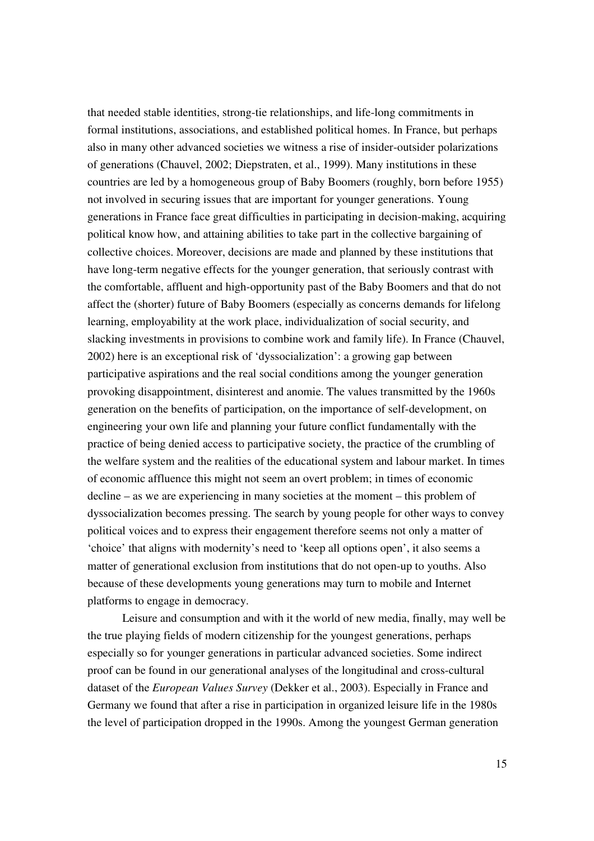that needed stable identities, strong-tie relationships, and life-long commitments in formal institutions, associations, and established political homes. In France, but perhaps also in many other advanced societies we witness a rise of insider-outsider polarizations of generations (Chauvel, 2002; Diepstraten, et al., 1999). Many institutions in these countries are led by a homogeneous group of Baby Boomers (roughly, born before 1955) not involved in securing issues that are important for younger generations. Young generations in France face great difficulties in participating in decision-making, acquiring political know how, and attaining abilities to take part in the collective bargaining of collective choices. Moreover, decisions are made and planned by these institutions that have long-term negative effects for the younger generation, that seriously contrast with the comfortable, affluent and high-opportunity past of the Baby Boomers and that do not affect the (shorter) future of Baby Boomers (especially as concerns demands for lifelong learning, employability at the work place, individualization of social security, and slacking investments in provisions to combine work and family life). In France (Chauvel, 2002) here is an exceptional risk of 'dyssocialization': a growing gap between participative aspirations and the real social conditions among the younger generation provoking disappointment, disinterest and anomie. The values transmitted by the 1960s generation on the benefits of participation, on the importance of self-development, on engineering your own life and planning your future conflict fundamentally with the practice of being denied access to participative society, the practice of the crumbling of the welfare system and the realities of the educational system and labour market. In times of economic affluence this might not seem an overt problem; in times of economic decline – as we are experiencing in many societies at the moment – this problem of dyssocialization becomes pressing. The search by young people for other ways to convey political voices and to express their engagement therefore seems not only a matter of 'choice' that aligns with modernity's need to 'keep all options open', it also seems a matter of generational exclusion from institutions that do not open-up to youths. Also because of these developments young generations may turn to mobile and Internet platforms to engage in democracy.

Leisure and consumption and with it the world of new media, finally, may well be the true playing fields of modern citizenship for the youngest generations, perhaps especially so for younger generations in particular advanced societies. Some indirect proof can be found in our generational analyses of the longitudinal and cross-cultural dataset of the *European Values Survey* (Dekker et al., 2003). Especially in France and Germany we found that after a rise in participation in organized leisure life in the 1980s the level of participation dropped in the 1990s. Among the youngest German generation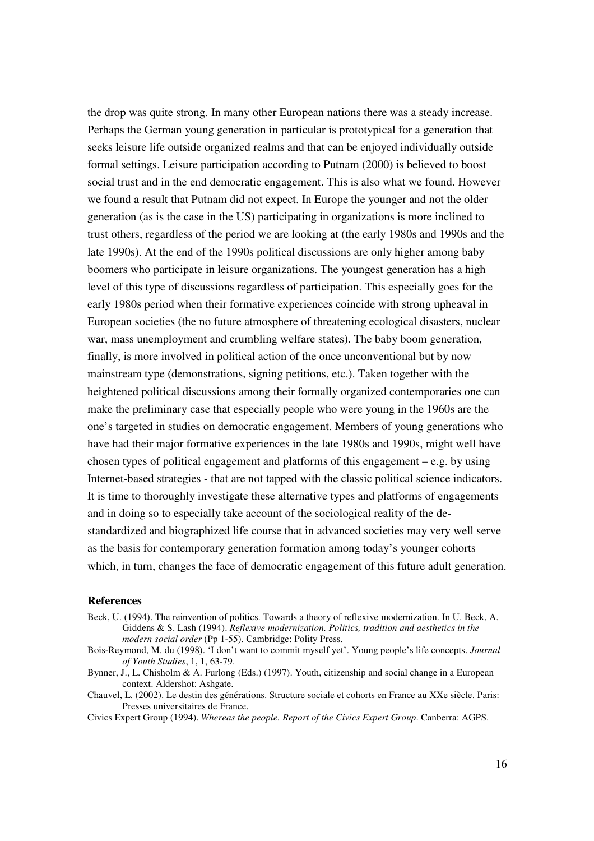the drop was quite strong. In many other European nations there was a steady increase. Perhaps the German young generation in particular is prototypical for a generation that seeks leisure life outside organized realms and that can be enjoyed individually outside formal settings. Leisure participation according to Putnam (2000) is believed to boost social trust and in the end democratic engagement. This is also what we found. However we found a result that Putnam did not expect. In Europe the younger and not the older generation (as is the case in the US) participating in organizations is more inclined to trust others, regardless of the period we are looking at (the early 1980s and 1990s and the late 1990s). At the end of the 1990s political discussions are only higher among baby boomers who participate in leisure organizations. The youngest generation has a high level of this type of discussions regardless of participation. This especially goes for the early 1980s period when their formative experiences coincide with strong upheaval in European societies (the no future atmosphere of threatening ecological disasters, nuclear war, mass unemployment and crumbling welfare states). The baby boom generation, finally, is more involved in political action of the once unconventional but by now mainstream type (demonstrations, signing petitions, etc.). Taken together with the heightened political discussions among their formally organized contemporaries one can make the preliminary case that especially people who were young in the 1960s are the one's targeted in studies on democratic engagement. Members of young generations who have had their major formative experiences in the late 1980s and 1990s, might well have chosen types of political engagement and platforms of this engagement – e.g. by using Internet-based strategies - that are not tapped with the classic political science indicators. It is time to thoroughly investigate these alternative types and platforms of engagements and in doing so to especially take account of the sociological reality of the destandardized and biographized life course that in advanced societies may very well serve as the basis for contemporary generation formation among today's younger cohorts which, in turn, changes the face of democratic engagement of this future adult generation.

#### **References**

- Beck, U. (1994). The reinvention of politics. Towards a theory of reflexive modernization. In U. Beck, A. Giddens & S. Lash (1994). *Reflexive modernization. Politics, tradition and aesthetics in the modern social order* (Pp 1-55). Cambridge: Polity Press.
- Bois-Reymond, M. du (1998). 'I don't want to commit myself yet'. Young people's life concepts. *Journal of Youth Studies*, 1, 1, 63-79.
- Bynner, J., L. Chisholm & A. Furlong (Eds.) (1997). Youth, citizenship and social change in a European context. Aldershot: Ashgate.
- Chauvel, L. (2002). Le destin des générations. Structure sociale et cohorts en France au XXe siècle. Paris: Presses universitaires de France.
- Civics Expert Group (1994). *Whereas the people. Report of the Civics Expert Group*. Canberra: AGPS.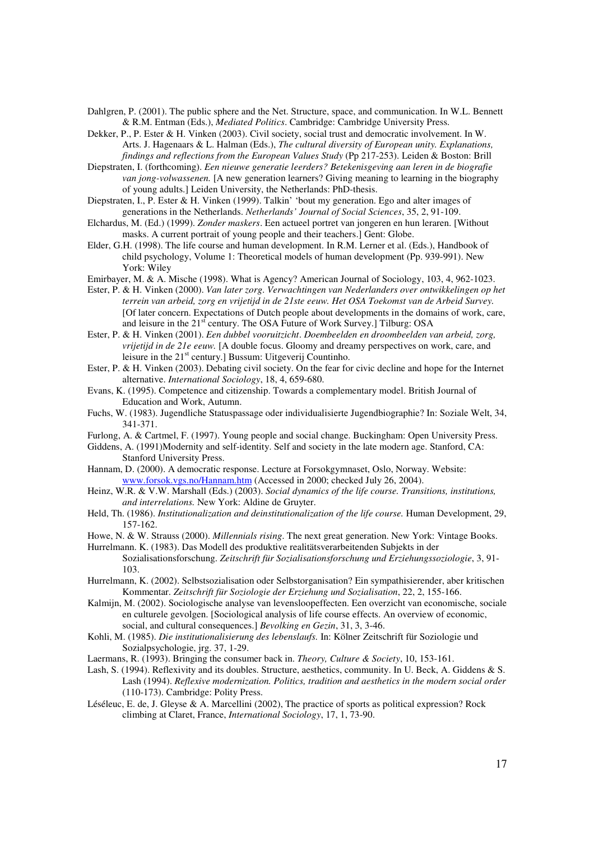- Dahlgren, P. (2001). The public sphere and the Net. Structure, space, and communication. In W.L. Bennett & R.M. Entman (Eds.), *Mediated Politics*. Cambridge: Cambridge University Press.
- Dekker, P., P. Ester & H. Vinken (2003). Civil society, social trust and democratic involvement. In W. Arts. J. Hagenaars & L. Halman (Eds.), *The cultural diversity of European unity. Explanations, findings and reflections from the European Values Study* (Pp 217-253). Leiden & Boston: Brill
- Diepstraten, I. (forthcoming). *Een nieuwe generatie leerders? Betekenisgeving aan leren in de biografie van jong-volwassenen.* [A new generation learners? Giving meaning to learning in the biography of young adults.] Leiden University, the Netherlands: PhD-thesis.
- Diepstraten, I., P. Ester & H. Vinken (1999). Talkin' 'bout my generation. Ego and alter images of generations in the Netherlands. *Netherlands' Journal of Social Sciences*, 35, 2, 91-109.
- Elchardus, M. (Ed.) (1999). *Zonder maskers*. Een actueel portret van jongeren en hun leraren. [Without masks. A current portrait of young people and their teachers.] Gent: Globe.
- Elder, G.H. (1998). The life course and human development. In R.M. Lerner et al. (Eds.), Handbook of child psychology, Volume 1: Theoretical models of human development (Pp. 939-991). New York: Wiley
- Emirbayer, M. & A. Mische (1998). What is Agency? American Journal of Sociology, 103, 4, 962-1023.
- Ester, P. & H. Vinken (2000). *Van later zorg*. *Verwachtingen van Nederlanders over ontwikkelingen op het terrein van arbeid, zorg en vrijetijd in de 21ste eeuw. Het OSA Toekomst van de Arbeid Survey.* [Of later concern. Expectations of Dutch people about developments in the domains of work, care, and leisure in the 21<sup>st</sup> century. The OSA Future of Work Survey.] Tilburg: OSA
- Ester, P. & H. Vinken (2001). *Een dubbel vooruitzicht*. *Doembeelden en droombeelden van arbeid, zorg, vrijetijd in de 21e eeuw.* [A double focus. Gloomy and dreamy perspectives on work, care, and leisure in the 21<sup>st</sup> century.] Bussum: Uitgeverij Countinho.
- Ester, P. & H. Vinken (2003). Debating civil society. On the fear for civic decline and hope for the Internet alternative. *International Sociology*, 18, 4, 659-680.
- Evans, K. (1995). Competence and citizenship. Towards a complementary model. British Journal of Education and Work, Autumn.
- Fuchs, W. (1983). Jugendliche Statuspassage oder individualisierte Jugendbiographie? In: Soziale Welt, 34, 341-371.
- Furlong, A. & Cartmel, F. (1997). Young people and social change. Buckingham: Open University Press.
- Giddens, A. (1991)Modernity and self-identity. Self and society in the late modern age. Stanford, CA: Stanford University Press.
- Hannam, D. (2000). A democratic response. Lecture at Forsokgymnaset, Oslo, Norway. Website: www.forsok.vgs.no/Hannam.htm (Accessed in 2000; checked July 26, 2004).
- Heinz, W.R. & V.W. Marshall (Eds.) (2003). *Social dynamics of the life course. Transitions, institutions, and interrelations.* New York: Aldine de Gruyter.
- Held, Th. (1986). *Institutionalization and deinstitutionalization of the life course.* Human Development, 29, 157-162.
- Howe, N. & W. Strauss (2000). *Millennials rising*. The next great generation. New York: Vintage Books.
- Hurrelmann. K. (1983). Das Modell des produktive realitätsverarbeitenden Subjekts in der Sozialisationsforschung. *Zeitschrift für Sozialisationsforschung und Erziehungssoziologie*, 3, 91- 103.
- Hurrelmann, K. (2002). Selbstsozialisation oder Selbstorganisation? Ein sympathisierender, aber kritischen Kommentar. *Zeitschrift für Soziologie der Erziehung und Sozialisation*, 22, 2, 155-166.
- Kalmijn, M. (2002). Sociologische analyse van levensloopeffecten. Een overzicht van economische, sociale en culturele gevolgen. [Sociological analysis of life course effects. An overview of economic, social, and cultural consequences.] *Bevolking en Gezin*, 31, 3, 3-46.
- Kohli, M. (1985). *Die institutionalisierung des lebenslaufs.* In: Kölner Zeitschrift für Soziologie und Sozialpsychologie, jrg. 37, 1-29.
- Laermans, R. (1993). Bringing the consumer back in. *Theory, Culture & Society*, 10, 153-161.
- Lash, S. (1994). Reflexivity and its doubles. Structure, aesthetics, community. In U. Beck, A. Giddens & S. Lash (1994). *Reflexive modernization. Politics, tradition and aesthetics in the modern social order* (110-173). Cambridge: Polity Press.
- Léséleuc, E. de, J. Gleyse & A. Marcellini (2002), The practice of sports as political expression? Rock climbing at Claret, France, *International Sociology*, 17, 1, 73-90.